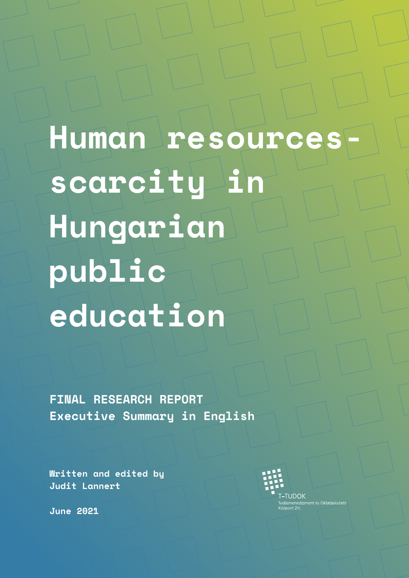Human resources**scarcity in Hungarian public education**

**FINAL RESEARCH REPORT Executive Summary in English**

**Written and edited by Judit Lannert**

 $-TUDOK$ 

**I – I UDUK**<br>Tudásmenedzsment és Oktatáskutató<br>Központ Zrt<mark>.</mark>

**June 2021**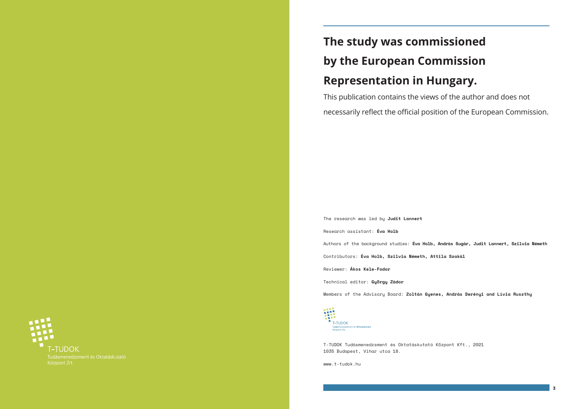**3**

# **T-TUDOK**

# **The study was commissioned by the European Commission Representation in Hungary.**

This publication contains the views of the author and does not necessarily reflect the official position of the European Commission.

The research was led by **Judit Lannert** Research assistant: **Éva Holb** Authors of the background studies: **Éva Holb, András Sugár, Judit Lannert, Szilvia Németh** Contributors: **Éva Holb, Szilvia Németh, Attila Szakál** Reviewer: **Ákos Kele-Fodor** Technical editor: **György Zádor**

Members of the Advisory Board: **Zoltán Gyenes, András Derényi and Lívia Ruszthy**



T-TUDOK Tudásmenedzsment és Oktatáskutató Központ Kft., 2021 1035 Budapest, Vihar utca 18.

[www.t-tudok.hu](http://www.t-tudok.hu)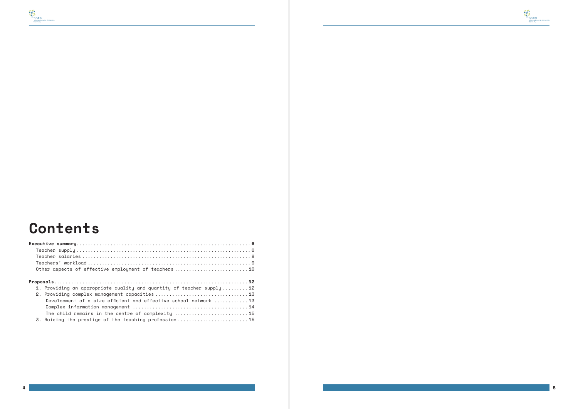## **Contents**

墨

| Other aspects of effective employment of teachers  10                |
|----------------------------------------------------------------------|
|                                                                      |
|                                                                      |
| 1. Providing an appropriate quality and quantity of teacher supply12 |
|                                                                      |
| Development of a size efficient and effective school network 13      |
|                                                                      |
| The child remains in the centre of complexity 15                     |
| 3. Raising the prestige of the teaching profession 15                |
|                                                                      |

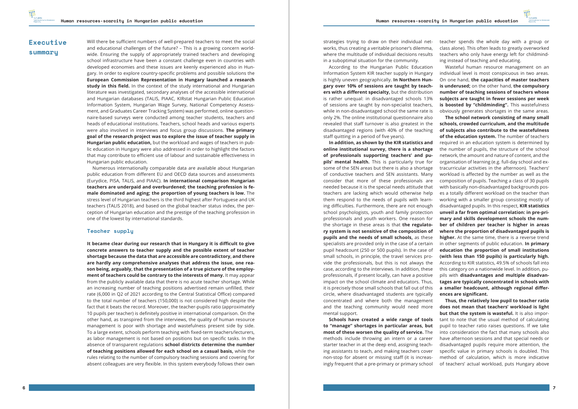### <span id="page-3-0"></span>**Executive summary**

Will there be sufficient numbers of well-prepared teachers to meet the social and educational challenges of the future? – This is a growing concern worldwide. Ensuring the supply of appropriately trained teachers and developing school infrastructure have been a constant challenge even in countries with developed economies and these issues are keenly experienced also in Hungary. In order to explore country-specific problems and possible solutions the **European Commission Representation in Hungary launched a research study in this field.** In the context of the study international and Hungarian literature was investigated, secondary analyses of the accessible international and Hungarian databases (TALIS, PIAAC, KIRstat Hungarian Public Education Information System, Hungarian Wage Survey, National Competency Assessment, and Graduates Career Tracking System) was performed, online questionnaire-based surveys were conducted among teacher students, teachers and heads of educational institutions. Teachers, school heads and various experts were also involved in interviews and focus group discussions. **The primary goal of the research project was to explore the issue of teacher supply in Hungarian public education,** but the workload and wages of teachers in public education in Hungary were also addressed in order to highlight the factors that may contribute to efficient use of labour and sustainable effectiveness in Hungarian public education.

Numerous internationally comparable data are available about Hungarian public education from different EU and OECD data sources and assessments (Eurydice, PISA, TALIS, and PIAAC). **In international comparison Hungarian teachers are underpaid and overburdened; the teaching profession is female dominated and aging; the proportion of young teachers is low.** The stress level of Hungarian teachers is the third highest after Portuguese and UK teachers (TALIS 2018), and based on the global teacher status index, the perception of Hungarian education and the prestige of the teaching profession in one of the lowest by international standards.

#### **Teacher supply**

**It became clear during our research that in Hungary it is difficult to give concrete answers to teacher supply and the possible extent of teacher shortage because the data that are accessible are contradictory, and there are hardly any comprehensive analyses that address the issue, one reason being, arguably, that the presentation of a true picture of the employment of teachers could be contrary to the interests of many.** It may appear from the publicly available data that there is no acute teacher shortage. While an increasing number of teaching positions advertised remain unfilled, their rate (6,000 in Q2 of 2021 according to the Central Statistical Office) compared to the total number of teachers (150,000) is not considered high despite the fact that it beats the record. Moreover, the teacher-pupils ratio (approximately 10 pupils per teacher) is definitely positive in international comparison. On the other hand, as transpired from the interviews, the quality of human resource management is poor with shortage and wastefulness present side by side. To a large extent, schools perform teaching with fixed-term teachers/lecturers, as labor management is not based on positions but on specific tasks. In the absence of transparent regulations **school districts determine the number of teaching positions allowed for each school on a casual basis,** while the rules relating to the number of compulsory teaching sessions and covering for absent colleagues are very flexible. In this system everybody follows their own

strategies trying to draw on their individual networks, thus creating a veritable prisoner's dilemma, where the multitude of individual decisions results in a suboptimal situation for the community.

According to the Hungarian Public Education Information System KIR teacher supply in Hungary is highly uneven geographically. **In Northern Hungary over 10% of sessions are taught by teachers with a different specialty,** but the distribution is rather unequal: in disadvantaged schools 13% of sessions are taught by non-specialist teachers, while in non-disadvantaged school the same rate is only 2%. The online institutional questionnaire also revealed that staff turnover is also greatest in the disadvantaged regions (with 40% of the teaching staff quitting in a period of five years).

**In addition, as shown by the KIR statistics and online institutional survey, there is a shortage of professionals supporting teachers' and pupils' mental health.** This is particularly true for some of the SEN areas but there is also a shortage of conductive teachers and SEN assistants. Many consider that more of these professionals are needed because it is the special needs attitude that teachers are lacking which would otherwise help them respond to the needs of pupils with learning difficulties. Furthermore, there are not enough school psychologists, youth and family protection professionals and youth workers. One reason for the shortage in these areas is that **the regulatory system is not sensitive of the composition of pupils and the needs of small schools,** as these specialists are provided only in the case of a certain pupil headcount (250 or 500 pupils). In the case of small schools, in principle, the travel services provide the professionals, but this is not always the case, according to the interviews. In addition, these professionals, if present locally, can have a positive impact on the school climate and educators. Thus, it is precisely those small schools that fall out of this circle, where disadvantaged students are typically concentrated and where both the management and the teaching community would need more mental support.

**Schools have created a wide range of tools to "manage" shortages in particular areas, but most of these worsen the quality of service.** The methods include throwing an intern or a career starter teacher in at the deep end, assigning teaching assistants to teach, and making teachers cover non-stop for absent or missing staff (it is increasingly frequent that a pre-primary or primary school teacher spends the whole day with a group or class alone). This often leads to greatly overworked teachers who only have energy left for childminding instead of teaching and educating.

Wasteful human resource management on an individual level is most conspicuous in two areas. On one hand, **the capacities of master teachers is underused;** on the other hand, **the compulsory number of teaching sessions of teachers whose subjects are taught in fewer sessions per week is boosted by "childminding".** This wastefulness obviously generates shortages in the same areas.

**The school network consisting of many small schools, crowded curriculum, and the multitude of subjects also contribute to the wastefulness of the education system.** The number of teachers required in an education system is determined by the number of pupils, the structure of the school network, the amount and nature of content, and the organisation of learning (e.g. full-day school and extracurricular activities in the afternoon). Teachers' workload is affected by the number as well as the composition of pupils. Teaching a class of 30 pupils with basically non-disadvantaged backgrounds poses a totally different workload on the teacher than working with a smaller group consisting mostly of disadvantaged pupils. In this respect, **KIR statistics unveil a far from optimal correlation: in pre-primary and skills development schools the number of children per teacher is higher in areas where the proportion of disadvantaged pupils is higher.** At the same time, there is a reverse trend in other segments of public education. **In primary education the proportion of small institutions (with less than 150 pupils) is particularly high.**  According to KIR statistics, 49.5% of schools fall into this category on a nationwide level. In addition, pupils with **disadvantages and multiple disadvantages are typically concentrated in schools with a smaller headcount, although regional differences are significant.**

**Thus, the relatively low pupil to teacher ratio does not mean that teachers' workload is light but that the system is wasteful.** It is also important to note that the usual method of calculating pupil to teacher ratio raises questions. If we take into consideration the fact that many schools also have afternoon sessions and that special needs or disadvantaged pupils require more attention, the specific value in primary schools is doubled. This method of calculation, which is more indicative of teachers' actual workload, puts Hungary above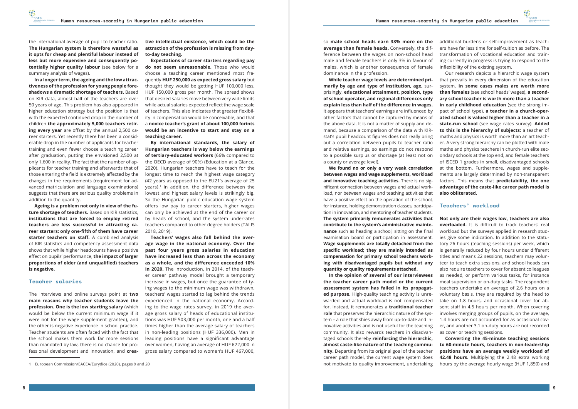

<span id="page-4-0"></span>the international average of pupil to teacher ratio. **The Hungarian system is therefore wasteful as it opts for cheap and plentiful labour instead of less but more expensive and consequently potentially higher quality labour** (see below for a summary analysis of wages).

**In a longer term, the ageing and the low attractiveness of the profession for young people foreshadows a dramatic shortage of teachers.** Based on KIR data, almost half of the teachers are over 50 years of age. This problem has also appeared in higher education strategy but the position is that with the expected continued drop in the number of children **the approximately 5,000 teachers retiring every year** are offset by the annual 2,500 career starters. Yet recently there has been a considerable drop in the number of applicants for teacher training and even fewer choose a teaching career after graduation, putting the envisioned 2,500 at only 1,600 in reality. The fact that the number of applicants for teacher training and afterwards that of those entering the field is extremely affected by the changes in the requirements (requirement for advanced matriculation and language examinations) suggests that there are serious quality problems in addition to the quantity.

**Ageing is a problem not only in view of the future shortage of teachers.** Based on KIR statistics, **institutions that are forced to employ retired teachers are less successful in attracting career starters: only one-fifth of them have career starter teachers on staff.** A combined analysis of KIR statistics and competency assessment data shows that while higher headcounts have a positive effect on pupils' performance, **the impact of larger proportions of older (and unqualified) teachers is negative.** 

#### **Teacher salaries**

The interviews and online surveys point at **two main reasons why teacher students leave the profession. One is the low starting salary** (which would be below the current minimum wage if it were not for the wage supplement granted), and the other is negative experience in school practice. Teacher students are often faced with the fact that the school makes them work far more sessions than mandated by law, there is no chance for professional development and innovation, and **crea-**

1 European Commission/EACEA/Eurydice (2020), pages 9 and 20

**tive intellectual existence, which could be the attraction of the profession is missing from dayto-day teaching.**

**Expectations of career starters regarding pay do not seem unreasonable.** Those who would choose a teaching career mentioned most frequently **HUF 250,000 as expected gross salary** but thought they would be getting HUF 100,000 less, HUF 150,000 gross per month. The spread shows that desired salaries move between very wide limits while actual salaries expected reflect the wage scale of teachers. This also indicates that greater flexibility in compensation would be conceivable, and that a **novice teacher's grant of about 100,000 forints would be an incentive to start and stay on a teaching career.**

**By international standards, the salary of Hungarian teachers is way below the earnings of tertiary-educated workers** (66% compared to the OECD average of 90%) (Education at a Glance, 2020). Hungarian teachers have to teach for the longest time to reach the highest wage category (42 years as opposed to the EU21's average of 25  $years$ ).<sup>1</sup> In addition, the difference between the lowest and highest salary levels is strikingly big. So the Hungarian public education wage system offers low pay to career starters, higher wages can only be achieved at the end of the career or by heads of school, and the system underrates teachers compared to other degree holders (TALIS 2018, 2019).

**Teachers' wages also fall behind the average wage in the national economy. Over the past four years gross salaries in education have increased less than across the economy as a whole, and the difference exceeded 10% in 2020.** The introduction, in 2014, of the teacher career pathway model brought a temporary increase in wages, but once the guarantee of tying wages to the minimum wage was withdrawn, teachers' wages started to lag behind the trends experienced in the national economy. According to the wage rates survey, in 2019 the average gross salary of heads of educational institutions was HUF 503,000 per month, one and a half times higher than the average salary of teachers in non-leading positions (HUF 336,000). Men in leading positions have a significant advantage over women, having an average of HUF 622,000 in gross salary compared to women's HUF 467,000,

so **male school heads earn 33% more on the average than female heads.** Conversely, the difference between the wages on non-school head male and female teachers is only 3% in favour of males, which is another consequence of female dominance in the profession.

**While teacher wage levels are determined primarily by age and type of institution, age,** surprisingly, **educational attainment, position, type of school operator, and regional differences only explain less than half of the difference in wages.**  It appears that teachers' earnings are influenced by other factors that cannot be captured by means of the above data. It is not a matter of supply and demand, because a comparison of the data with KIRstat's pupil headcount figures does not really bring out a correlation between pupils to teacher ratio and relative earnings, so earnings do not respond to a possible surplus or shortage (at least not on a county or average level).

**We found no or only a very weak correlation between wages and wage supplements, workload and innovative teaching activities.** There is no significant connection between wages and actual workload, nor between wages and teaching activities that have a positive effect on the operation of the school, for instance, holding demonstration classes, participation in innovation, and mentoring of teacher students. **The system primarily remunerates activities that contribute to the system's administrative maintenance** such as heading a school, sitting on the final examination board or participation in assessment. **Wage supplements are totally detached from the specific workload; they are mainly intended as compensation for primary school teachers working with disadvantaged pupils but without any quantity or quality requirements attached.**

**In the opinion of several of our interviewees the teacher career path model or the current assessment system has failed in its propagated purpose.** High-quality teaching activity is unrewarded and actual workload is not compensated for. Instead, it remunerates a **traditional teacher role** that preserves the hierarchic nature of the system – a role that shies away from up-to-date and innovative activities and is not useful for the teaching community. It also rewards teachers in disadvantaged schools thereby **reinforcing the hierarchic, almost caste-like nature of the teaching community.** Departing from its original goal of the teacher career path model, the current wage system does not motivate to quality improvement, undertaking

additional burdens or self-improvement as teachers have far less time for self-tuition as before. The transformation of vocational education and training currently in progress is trying to respond to the inflexibility of the existing system.

Our research depicts a hierarchic wage system that prevails in every dimension of the education system. **In some cases males are worth more than females** (see school heads' wages), **a secondary school teacher is worth more than a teacher in early childhood education** (see the strong impact of school type), **a teacher in a church-operated school is valued higher than a teacher in a state-run school** (see wage rates survey). **Added to this is the hierarchy of subjects:** a teacher of maths and physics is worth more than an art teacher. A very strong hierarchy can be plotted with male maths and physics teachers in church-run elite secondary schools at the top end, and female teachers of ISCED 1 grades in small, disadvantaged schools at the bottom. Furthermore, wages and supplements are largely determined by non-transparent factors. This means that **predictability, the one advantage of the caste-like career path model is also obliterated.**

#### **Teachers' workload**

**Not only are their wages low, teachers are also overloaded.** It is difficult to track teachers' real workload but the surveys applied in research studies give some indication. In addition to the statutory 26 hours (teaching sessions) per week, which is generally reduced by four hours under different titles and means 22 sessions, teachers may volunteer to teach extra sessions, and school heads can also require teachers to cover for absent colleagues as needed, or perform various tasks, for instance meal supervision or on-duty tasks. The respondent teachers undertake an average of 2.6 hours on a voluntary basis, they are required by the head to take on 1.8 hours, and occasional cover for absent staff in 4.5 hours per month. When covering involves merging groups of pupils, on the average, 1.4 hours are not accounted for as occasional cover, and another 3.1 on-duty hours are not recorded as cover or teaching sessions.

**Converting the 45-minute teaching sessions to 60-minute hours, teachers in non-leadership positions have an average weekly workload of 42.48 hours.** Multiplying the 2.48 extra working hours by the average hourly wage (HUF 1,850) and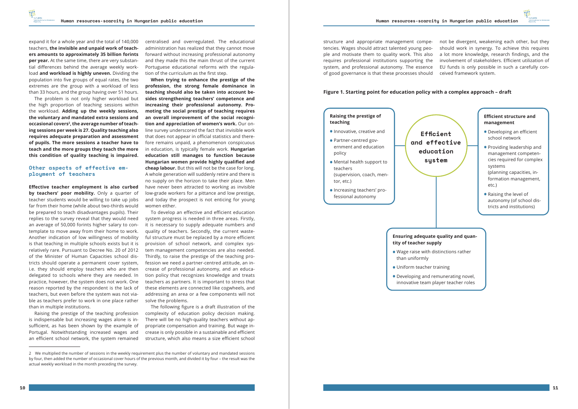<span id="page-5-0"></span>expand it for a whole year and the total of 140,000 teachers, **the invisible and unpaid work of teachers amounts to approximately 35 billion forints per year.** At the same time, there are very substantial differences behind the average weekly workload **and workload is highly uneven.** Dividing the population into five groups of equal rates, the two extremes are the group with a workload of less than 33 hours, and the group having over 51 hours.

The problem is not only higher workload but the high proportion of teaching sessions within the workload. **Adding up the weekly sessions, the voluntary and mandated extra sessions and**  occasional covers<sup>2</sup>, the average number of teach**ing sessions per week is 27. Quality teaching also requires adequate preparation and assessment of pupils. The more sessions a teacher have to teach and the more groups they teach the more this condition of quality teaching is impaired.**

#### **Other aspects of effective employment of teachers**

**Effective teacher employment is also curbed**  by teachers' poor mobility. Only a quarter of teacher students would be willing to take up jobs far from their home (while about two-thirds would be prepared to teach disadvantages pupils). Their replies to the survey reveal that they would need an average of 50,000 forints higher salary to contemplate to move away from their home to work. Another indication of low willingness of mobility is that teaching in multiple schools exists but it is relatively rare. Pursuant to Decree No. 20 of 2012 of the Minister of Human Capacities school districts should operate a permanent cover system, i.e. they should employ teachers who are then delegated to schools where they are needed. In practice, however, the system does not work. One reason reported by the respondent is the lack of teachers, but even before the system was not viable as teachers prefer to work in one place rather than in multiple institutions.

Raising the prestige of the teaching profession is indispensable but increasing wages alone is insufficient, as has been shown by the example of Portugal. Notwithstanding increased wages and an efficient school network, the system remained

centralised and overregulated. The educational administration has realized that they cannot move forward without increasing professional autonomy and they made this the main thrust of the current Portuguese educational reforms with the regulation of the curriculum as the first step.

**When trying to enhance the prestige of the profession, the strong female dominance in teaching should also be taken into account besides strengthening teachers' competence and increasing their professional autonomy. Promoting the social prestige of teaching requires an overall improvement of the social recognition and appreciation of women's work.** Our online survey underscored the fact that invisible work that does not appear in official statistics and therefore remains unpaid, a phenomenon conspicuous in education, is typically female work. **Hungarian education still manages to function because Hungarian women provide highly qualified and cheap labour.** But this will not be the case for long. A whole generation will suddenly retire and there is no supply on the horizon to take their place. Men have never been attracted to working as invisible low-grade workers for a pittance and low prestige, and today the prospect is not enticing for young women either.

To develop an effective and efficient education system progress is needed in three areas. Firstly, it is necessary to supply adequate numbers and quality of teachers. Secondly, the current wasteful structure must be replaced by a more efficient provision of school network, and complex system management competencies are also needed. Thirdly, to raise the prestige of the teaching profession we need a partner-centred attitude, an increase of professional autonomy, and an education policy that recognizes knowledge and treats teachers as partners. It is important to stress that these elements are connected like cogwheels, and addressing an area or a few components will not solve the problems.

The following figure is a draft illustration of the complexity of education policy decision making. There will be no high-quality teachers without appropriate compensation and training. But wage increase is only possible in a sustainable and efficient structure, which also means a size efficient school

structure and appropriate management competencies. Wages should attract talented young people and motivate them to quality work. This also requires professional institutions supporting the system, and professional autonomy. The essence of good governance is that these processes should not be divergent, weakening each other, but they should work in synergy. To achieve this requires a lot more knowledge, research findings, and the involvement of stakeholders. Efficient utilization of EU funds is only possible in such a carefully conceived framework system.

#### **Figure 1. Starting point for education policy with a complex approach – draft**

#### **Raising the prestige of teaching**

- **•**Innovative, creative and
- **•** Partner-centred government and education policy
- **•** Mental health support to teachers (supervision, coach, mentor, etc.)
- **•**Increasing teachers' professional autonomy



- 
- 

## **tity of teacher supply**

- **•** Wage raise with distinctions rather than uniformly
- **•** Uniform teacher training
- **•** Developing and remunerating novel, innovative team player teacher roles

**Efficient education system**

<sup>2</sup> We multiplied the number of sessions in the weekly requirement plus the number of voluntary and mandated sessions by four, then added the number of occasional cover hours of the previous month, and divided it by four – the result was the actual weekly workload in the month preceding the survey.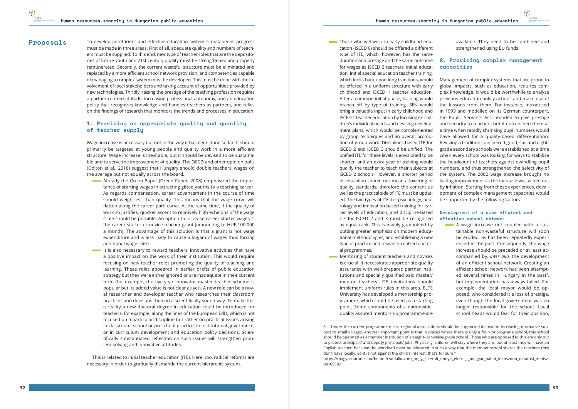To develop an efficient and effective education system simultaneous progress must be made in three areas. First of all, adequate quality and numbers of teachers must be supplied. To this end, new type of teacher roles that are the depositories of future youth and 21st century quality must be strengthened and properly remunerated. Secondly, the current wasteful structure must be eliminated and replaced by a more efficient school network provision, and competencies capable of managing a complex system must be developed. This must be done with the involvement of local stakeholders and taking account of opportunities provided by new technologies. Thirdly, raising the prestige of the teaching profession requires a partner-centred attitude, increasing professional autonomy, and an education policy that recognizes knowledge and handles teachers as partners, and relies on the findings of research that monitors the trends and processes in education.

#### **1. Providing an appropriate quality and quantity of teacher supply**

Wage increase is necessary but not in the way it has been done so far. It should primarily be targeted at young people and quality work in a more efficient structure. Wage increase is inevitable, but it should be devised to be sustainable and to serve the improvement of quality. The OECD and other opinion polls (Dolton et al., 2018) suggest that Hungary should double teachers' wages on the average but not equally across the board.

- Already the Green Paper (Green Paper, 2008) emphasized the importance of starting wages in attracting gifted youths to a teaching career. As regards compensation, career advancement in the course of time should weigh less than quality. This means that the wage curve will flatten along the career path curve. At the same time, if the quality of work so justifies, quicker ascent to relatively high echelons of the wage scale should be possible. An option to increase career starter wages is the career starter or novice teacher grant (amounting to HUF 100,000 a month). The advantage of this solution is that a grant is not wage expenditure and is less likely to cause a logjam of wages thus forcing additional wage raise.
- It is also necessary to reward teachers' innovative activities that have a positive impact on the work of their institution. This would require focusing on new teacher roles promoting the quality of teaching and learning. These roles appeared in earlier drafts of public education strategy but they were either ignored or are inadequate in their current form (for example, the five-year innovator master teacher scheme is popular but its added value is not clear as yet). A new role can be a novel researcher and developer teacher who researches their classroom practices and develops them in a scientifically sound way. To make this a reality a new doctoral degree in education could be introduced for teachers, for example, along the lines of the European EdD, which is not focused on a particular discipline but rather on practical issues arising in classroom, school or preschool practice, in institutional governance, or in curriculum development and education policy decisions. Scientifically substantiated reflection on such issues will strengthen problem-solving and innovative attitudes.
- Those who will work in early childhood education (ISCED 0) should be offered a different type of ITE, which, however, has the same duration and prestige and the same outcome for wages as ISCED 2 teachers' initial education. Initial special education teacher training, which looks back upon long traditions, would be offered in a uniform structure with early childhood and ISCED 1 teacher education. After a common initial phase, training would branch off by type of training. SEN would bring a valuable input in early childhood and ISCED 1 teacher education by focusing on children's individual needs and devising development plans, which would be complemented by group techniques and an overall promotion of group work. Disciplines-based ITE for ISCED 2 and ISCED 3 should be unified. The unified ITE for these levels is envisioned to be shorter, and an extra year of training would qualify the teacher to teach their subjects at ISCED 2 schools. However, a shorter period of education should not mean a lowering of quality standards; therefore the content as well as the practical side of ITE must be updated. The two types of ITE, i.e. psychology, neurology and innovation-based training for earlier levels of education, and discipline-based ITE for ISCED 2 and 3 must be recognized as equal rank. This is mainly guaranteed by putting greater emphasis on modern educational methodologies, and establishing a new type of practice and research-centred doctoral programmes.
- **Mentoring of student teachers and novices** is crucial. It necessitates appropriate quality assurance with well-prepared partner institutions and specially qualified paid master/ mentor teachers. ITE institutions should implement uniform rules in this area. ELTE University has developed a mentorship programme, which could be used as a starting point. Some components of a nationwide, quality assured mentorship programme are

This is related to initial teacher education (ITE). Here, too, radical reforms are necessary in order to gradually dismantle the current hierarchic system.

**A** wage increase not coupled with a sustainable non-wasteful structure will soon be eroded, as has been repeatedly experienced in the past. Consequently, the wage increase should be preceded or at least accompanied by, *inter alia,* the development of an efficient school network. Creating an efficient school network has been attempted several times in Hungary in the past<sup>3</sup>, but implementation has always failed. For example, the local mayor would be opposed, who considered it a loss of prestige, even though the local government was no longer responsible for the school. Local school heads would fear for their position,

3 "Under the current programme micro-regional associations should be supported instead of increasing normative sup-



available. They need to be combined and strengthened using EU funds.

#### **2. Providing complex management capacities**

Management of complex systems that are prone to global impacts, such as education, requires complex knowledge. It would be worthwhile to analyse previous education policy actions and make use of the lessons from them. For instance, introduced in 1993 and modelled on its German counterpart, the Public Servants Act intended to give prestige and security to teachers but it entrenched them at a time when rapidly shrinking pupil numbers would have allowed for a quality-based differentiation. Reviving a tradition considered good, six- and eightgrade secondary schools were established at a time when every school was looking for ways to stabilise the headcount of teachers against dwindling pupil numbers, and thus strengthened the selectivity of the system. The 2002 wage increase brought no lasting improvement as the increase was wiped out by inflation. Starting from these experiences, development of complex management capacities would be supported by the following factors:

#### **Development of a size efficient and effective school network**

#### <span id="page-6-0"></span>**Proposals**

port to small villages. Another important point is that in places where there is only a four- or six-grade school, this school should be operated as a member institution of an eight- or twelve-grade school. Those who are opposed to this are only out to protect principal's' and deputy principals' jobs. Physically, children will stay where they are, but at least they will have an English teacher, because the workload must be allocated in such a way that the member school shares the teachers they don't have locally. So it is not against the child's interest, that's for sure." [https://magyarnarancs.hu/belpol/csodalkozom\\_hogy\\_sikerult\\_ennyit\\_elerni\\_-\\_magyar\\_balint\\_lekoszono\\_oktatasi\\_minisz](https://magyarnarancs.hu/belpol/csodalkozom_hogy_sikerult_ennyit_elerni_-_magyar_balint_lekoszono_ok)[ter-65582](https://magyarnarancs.hu/belpol/csodalkozom_hogy_sikerult_ennyit_elerni_-_magyar_balint_lekoszono_ok)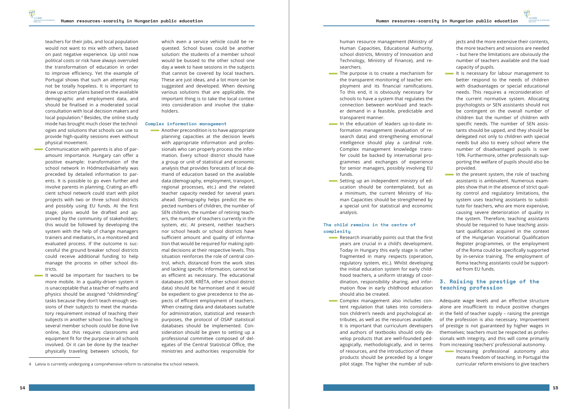<span id="page-7-0"></span>teachers for their jobs, and local population would not want to mix with others, based on past negative experience. Up until now political costs or risk have always overruled the transformation of education in order to improve efficiency. Yet the example of Portugal shows that such an attempt may not be totally hopeless. It is important to draw up action plans based on the available demographic and employment data, and should be finalised in a moderated social consultation with local decision makers and local population.<sup>4</sup> Besides, the online study mode has brought much closer the technologies and solutions that schools can use to provide high-quality sessions even without physical movement.

- **Communication with parents is also of par**amount importance. Hungary can offer a positive example: transformation of the school network in Hódmezővásárhely was preceded by detailed information to parents. It is possible to go even further and involve parents in planning. Crating an efficient school network could start with pilot projects with two or three school districts and possibly using EU funds. At the first stage, plans would be drafted and approved by the community of stakeholders; this would be followed by developing the system with the help of change managers trainers and mediators, in a monitored and evaluated process. If the outcome is successful the ground breaker school districts could receive additional funding to help manage the process in other school districts.
- It would be important for teachers to be more mobile. In a quality-driven system it is unacceptable that a teacher of maths and physics should be assigned "childminding" tasks because they don't teach enough sessions of their subjects to meet the mandatory requirement instead of teaching their subjects in another school too. Teaching in several member schools could be done live online, but this requires classrooms and equipment fit for the purpose in all schools involved. Or it can be done by the teacher physically traveling between schools, for

**Another precondition is to have appropriate** planning capacities at the decision levels with appropriate information and professionals who can properly process the information. Every school district should have a group or unit of statistical and economic analysis that provides forecasts of local demand of education based on the available data (demography, employment, transport, regional processes, etc.) and the related teacher capacity needed for several years ahead. Demography helps predict the expected numbers of children, the number of SEN children, the number of retiring teachers, the number of teachers currently in the system, etc. At present, neither teachers nor school heads or school districts have sufficient amount and quality of information that would be required for making optimal decisions at their respective levels. This situation reinforces the role of central control, which, distanced from the work sites and lacking specific information, cannot be as efficient as necessary. The educational databases (KIR, KRÉTA, other school district data) should be harmonised and it would be expedient to give precedence to the aspects of efficient employment of teachers. When creating data and databases suitable for administration, statistical and research purposes, the protocol of OSAP statistical databases should be implemented. Consideration should be given to setting up a professional committee composed of delegates of the Central Statistical Office, the ministries and authorities responsible for

which even a service vehicle could be requested. School buses could be another solution: the students of a member school would be bussed to the other school one day a week to have sessions in the subjects that cannot be covered by local teachers. These are just ideas, and a lot more can be suggested and developed. When devising various solutions that are applicable, the important thing is to take the local context into consideration and involve the stakeholders.

- The purpose is to create a mechanism for the transparent monitoring of teacher employment and its financial ramifications. To this end, it is obviously necessary for schools to have a system that regulates the connection between workload and teacher demand in a feasible, predictable and transparent manner.
- In the education of leaders up-to-date information management (evaluation of research data) and strengthening emotional intelligence should play a cardinal role. Complex management knowledge transfer could be backed by international programmes and exchanges of experience for senior managers, possibly involving EU funds.
- Setting up an independent ministry of education should be contemplated, but as a minimum, the current Ministry of Human Capacities should be strengthened by a special unit for statistical and economic analysis.

#### **Complex information management**

- Research invariably points out that the first years are crucial in a child's development. Today in Hungary this early stage is rather fragmented in many respects (operation, regulatory system, etc.). Whilst developing the initial education system for early childhood teachers, a uniform strategy of coordination, responsibility sharing, and information flow in early childhood education should also be created.
- **Complex management also includes con**tent regulation that takes into consideration children's needs and psychological attributes, as well as the resources available. It is important that curriculum developers and authors of textbooks should only develop products that are well-founded pedagogically, methodologically, and in terms of resources, and the introduction of these products should be preceded by a longer pilot stage. The higher the number of sub-
- It is necessary for labour management to better respond to the needs of children with disadvantages or special educational needs. This requires a reconsideration of the current normative system. Allocating psychologists or SEN assistants should not be contingent on the overall number of children but the number of children with specific needs. The number of SEN assistants should be upped, and they should be delegated not only to children with special needs but also to every school where the number of disadvantaged pupils is over 10%. Furthermore, other professionals supporting the welfare of pupils should also be provided.
- In the present system, the role of teaching assistants is ambivalent. Numerous examples show that in the absence of strict quality control and regulatory limitations, the system uses teaching assistants to substitute for teachers, who are more expensive, causing severe deterioration of quality in the system. Therefore, teaching assistants should be required to have teaching assistant qualification acquired in the context of the Hungarian Vocational Qualification Register programmes, or the employment of the Roma could be specifically supported by in-service training. The employment of Roma teaching assistants could be supported from EU funds.

Increasing professional autonomy also means freedom of teaching. In Portugal the curricular reform envisions to give teachers

human resource management (Ministry of Human Capacities, Educational Authority, school districts, Ministry of Innovation and Technology, Ministry of Finance), and researchers.

#### **The child remains in the centre of complexity**

jects and the more extensive their contents, the more teachers and sessions are needed – but here the limitations are obviously the number of teachers available and the load capacity of pupils.

#### **3. Raising the prestige of the teaching profession**

Adequate wage levels and an effective structure alone are insufficient to induce positive changes in the field of teacher supply – raising the prestige of the profession is also necessary. Improvement of prestige is not guaranteed by higher wages in themselves; teachers must be respected as professionals with integrity, and this will come primarily from increasing teachers' professional autonomy.

<sup>4</sup> Latvia is currently undergoing a comprehensive reform to rationalise the school network.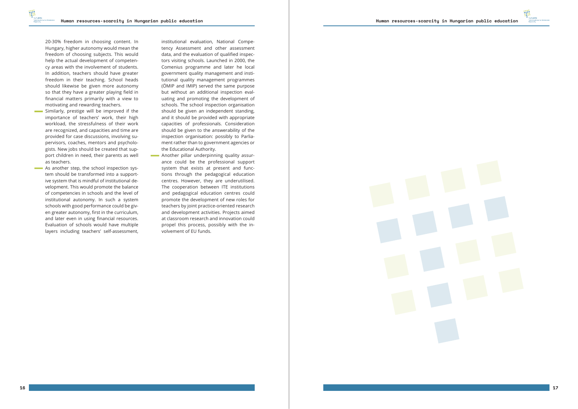20-30% freedom in choosing content. In Hungary, higher autonomy would mean the freedom of choosing subjects. This would help the actual development of competen cy areas with the involvement of students. In addition, teachers should have greater freedom in their teaching. School heads should likewise be given more autonomy so that they have a greater playing field in financial matters primarily with a view to motivating and rewarding teachers.

- **Similarly, prestige will be improved if the** importance of teachers' work, their high workload, the stressfulness of their work are recognized, and capacities and time are provided for case discussions, involving su pervisors, coaches, mentors and psycholo gists. New jobs should be created that sup port children in need, their parents as well as teachers.
- As another step, the school inspection sys tem should be transformed into a support ive system that is mindful of institutional de velopment. This would promote the balance of competencies in schools and the level of institutional autonomy. In such a system schools with good performance could be giv en greater autonomy, first in the curriculum, and later even in using financial resources. Evaluation of schools would have multiple layers including teachers' self-assessment,

institutional evaluation, National Compe tency Assessment and other assessment data, and the evaluation of qualified inspec tors visiting schools. Launched in 2000, the Comenius programme and later he local government quality management and insti tutional quality management programmes (ÖMIP and IMIP) served the same purpose but without an additional inspection eval uating and promoting the development of schools. The school inspection organisation should be given an independent standing, and it should be provided with appropriate capacities of professionals. Consideration should be given to the answerability of the inspection organisation: possibly to Parlia ment rather than to government agencies or the Educational Authority.

  Another pillar underpinning quality assur ance could be the professional support system that exists at present and func tions through the pedagogical education centres. However, they are underutilised. The cooperation between ITE institutions and pedagogical education centres could promote the development of new roles for teachers by joint practice-oriented research and development activities. Projects aimed at classroom research and innovation could propel this process, possibly with the in volvement of EU funds.